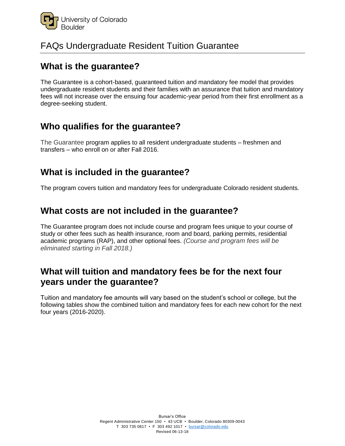

## FAQs Undergraduate Resident Tuition Guarantee

## **What is the guarantee?**

The Guarantee is a cohort-based, guaranteed tuition and mandatory fee model that provides undergraduate resident students and their families with an assurance that tuition and mandatory fees will not increase over the ensuing four academic-year period from their first enrollment as a degree-seeking student.

### **Who qualifies for the guarantee?**

The Guarantee program applies to all resident undergraduate students – freshmen and transfers – who enroll on or after Fall 2016.

## **What is included in the guarantee?**

The program covers tuition and mandatory fees for undergraduate Colorado resident students.

### **What costs are not included in the guarantee?**

The Guarantee program does not include course and program fees unique to your course of study or other fees such as health insurance, room and board, parking permits, residential academic programs (RAP), and other optional fees. *(Course and program fees will be eliminated starting in Fall 2018.)*

## **What will tuition and mandatory fees be for the next four years under the guarantee?**

Tuition and mandatory fee amounts will vary based on the student's school or college, but the following tables show the combined tuition and mandatory fees for each new cohort for the next four years (2016-2020).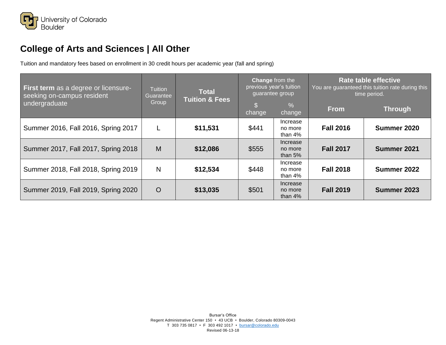

# **College of Arts and Sciences | All Other**

| <b>First term</b> as a degree or licensure-<br>seeking on-campus resident<br>undergraduate | <b>Tuition</b><br>Guarantee<br>Group | <b>Total</b><br><b>Tuition &amp; Fees</b> | Change from the<br>previous year's tuition<br>guarantee group |                                   | <b>Rate table effective</b><br>You are guaranteed this tuition rate during this<br>time period. |                |
|--------------------------------------------------------------------------------------------|--------------------------------------|-------------------------------------------|---------------------------------------------------------------|-----------------------------------|-------------------------------------------------------------------------------------------------|----------------|
|                                                                                            |                                      |                                           | change                                                        | $\sqrt{6}$<br>change              | <b>From</b>                                                                                     | <b>Through</b> |
| Summer 2016, Fall 2016, Spring 2017                                                        |                                      | \$11,531                                  | \$441                                                         | Increase<br>no more<br>than $4%$  | <b>Fall 2016</b>                                                                                | Summer 2020    |
| Summer 2017, Fall 2017, Spring 2018                                                        | M                                    | \$12,086                                  | \$555                                                         | Increase<br>no more<br>than $5%$  | <b>Fall 2017</b>                                                                                | Summer 2021    |
| Summer 2018, Fall 2018, Spring 2019                                                        | N                                    | \$12,534                                  | \$448                                                         | Increase<br>no more<br>than 4%    | <b>Fall 2018</b>                                                                                | Summer 2022    |
| Summer 2019, Fall 2019, Spring 2020                                                        | $\circ$                              | \$13,035                                  | \$501                                                         | Increase<br>no more<br>than $4\%$ | <b>Fall 2019</b>                                                                                | Summer 2023    |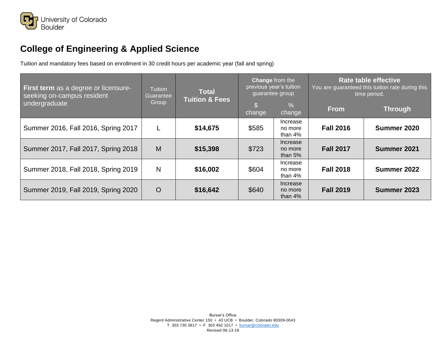

# **College of Engineering & Applied Science**

| <b>First term</b> as a degree or licensure-<br>seeking on-campus resident<br>undergraduate | <b>Tuition</b><br>Guarantee<br>Group | <b>Total</b><br><b>Tuition &amp; Fees</b> | Change from the<br>previous year's tuition<br>guarantee group |                                   | <b>Rate table effective</b><br>You are guaranteed this tuition rate during this<br>time period. |                |
|--------------------------------------------------------------------------------------------|--------------------------------------|-------------------------------------------|---------------------------------------------------------------|-----------------------------------|-------------------------------------------------------------------------------------------------|----------------|
|                                                                                            |                                      |                                           | change                                                        | %<br>change                       | <b>From</b>                                                                                     | <b>Through</b> |
| Summer 2016, Fall 2016, Spring 2017                                                        |                                      | \$14,675                                  | \$585                                                         | Increase<br>no more<br>than $4\%$ | <b>Fall 2016</b>                                                                                | Summer 2020    |
| Summer 2017, Fall 2017, Spring 2018                                                        | M                                    | \$15,398                                  | \$723                                                         | Increase<br>no more<br>than $5%$  | <b>Fall 2017</b>                                                                                | Summer 2021    |
| Summer 2018, Fall 2018, Spring 2019                                                        | N                                    | \$16,002                                  | \$604                                                         | Increase<br>no more<br>than $4%$  | <b>Fall 2018</b>                                                                                | Summer 2022    |
| Summer 2019, Fall 2019, Spring 2020                                                        | $\circ$                              | \$16,642                                  | \$640                                                         | Increase<br>no more<br>than $4\%$ | <b>Fall 2019</b>                                                                                | Summer 2023    |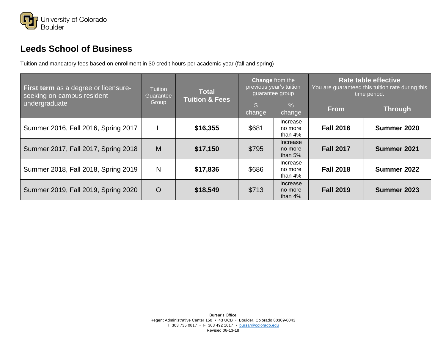

# **Leeds School of Business**

| First term as a degree or licensure-<br>seeking on-campus resident<br>undergraduate | <b>Tuition</b><br>Guarantee<br>Group | <b>Total</b><br><b>Tuition &amp; Fees</b> | Change from the<br>previous year's tuition<br>guarantee group |                                   | <b>Rate table effective</b><br>You are guaranteed this tuition rate during this<br>time period. |                |
|-------------------------------------------------------------------------------------|--------------------------------------|-------------------------------------------|---------------------------------------------------------------|-----------------------------------|-------------------------------------------------------------------------------------------------|----------------|
|                                                                                     |                                      |                                           | change                                                        | %<br>change                       | <b>From</b>                                                                                     | <b>Through</b> |
| Summer 2016, Fall 2016, Spring 2017                                                 |                                      | \$16,355                                  | \$681                                                         | Increase<br>no more<br>than $4\%$ | <b>Fall 2016</b>                                                                                | Summer 2020    |
| Summer 2017, Fall 2017, Spring 2018                                                 | M                                    | \$17,150                                  | \$795                                                         | Increase<br>no more<br>than $5%$  | <b>Fall 2017</b>                                                                                | Summer 2021    |
| Summer 2018, Fall 2018, Spring 2019                                                 | $\mathsf{N}$                         | \$17,836                                  | \$686                                                         | Increase<br>no more<br>than $4%$  | <b>Fall 2018</b>                                                                                | Summer 2022    |
| Summer 2019, Fall 2019, Spring 2020                                                 | $\overline{O}$                       | \$18,549                                  | \$713                                                         | Increase<br>no more<br>than $4\%$ | <b>Fall 2019</b>                                                                                | Summer 2023    |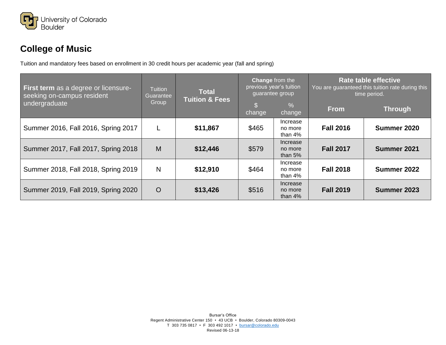

# **College of Music**

| First term as a degree or licensure-<br>seeking on-campus resident<br>undergraduate | <b>Tuition</b><br>Guarantee<br>Group | <b>Total</b><br><b>Tuition &amp; Fees</b> | Change from the<br>previous year's tuition<br>guarantee group |                                   | <b>Rate table effective</b><br>You are guaranteed this tuition rate during this<br>time period. |                |
|-------------------------------------------------------------------------------------|--------------------------------------|-------------------------------------------|---------------------------------------------------------------|-----------------------------------|-------------------------------------------------------------------------------------------------|----------------|
|                                                                                     |                                      |                                           | change                                                        | %<br>change                       | <b>From</b>                                                                                     | <b>Through</b> |
| Summer 2016, Fall 2016, Spring 2017                                                 |                                      | \$11,867                                  | \$465                                                         | Increase<br>no more<br>than $4\%$ | <b>Fall 2016</b>                                                                                | Summer 2020    |
| Summer 2017, Fall 2017, Spring 2018                                                 | M                                    | \$12,446                                  | \$579                                                         | Increase<br>no more<br>than $5%$  | <b>Fall 2017</b>                                                                                | Summer 2021    |
| Summer 2018, Fall 2018, Spring 2019                                                 | N                                    | \$12,910                                  | \$464                                                         | Increase<br>no more<br>than $4\%$ | <b>Fall 2018</b>                                                                                | Summer 2022    |
| Summer 2019, Fall 2019, Spring 2020                                                 | $\overline{O}$                       | \$13,426                                  | \$516                                                         | Increase<br>no more<br>than $4\%$ | <b>Fall 2019</b>                                                                                | Summer 2023    |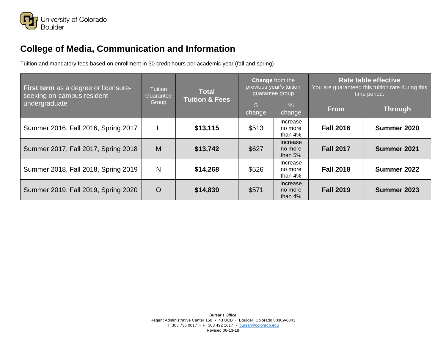

# **College of Media, Communication and Information**

| <b>First term</b> as a degree or licensure-<br>seeking on-campus resident<br>undergraduate | <b>Tuition</b><br>Guarantee<br>Group | <b>Total</b><br>Tuition & Fees | <b>Change from the</b><br>previous year's tuition<br>guarantee group |                                   | <b>Rate table effective</b><br>You are guaranteed this tuition rate during this<br>time period. |                |
|--------------------------------------------------------------------------------------------|--------------------------------------|--------------------------------|----------------------------------------------------------------------|-----------------------------------|-------------------------------------------------------------------------------------------------|----------------|
|                                                                                            |                                      |                                | change                                                               | $\sqrt{6}$<br>change              | <b>From</b>                                                                                     | <b>Through</b> |
| Summer 2016, Fall 2016, Spring 2017                                                        |                                      | \$13,115                       | \$513                                                                | Increase<br>no more<br>than $4%$  | <b>Fall 2016</b>                                                                                | Summer 2020    |
| Summer 2017, Fall 2017, Spring 2018                                                        | M                                    | \$13,742                       | \$627                                                                | Increase<br>no more<br>than $5%$  | <b>Fall 2017</b>                                                                                | Summer 2021    |
| Summer 2018, Fall 2018, Spring 2019                                                        | N                                    | \$14,268                       | \$526                                                                | Increase<br>no more<br>than $4\%$ | <b>Fall 2018</b>                                                                                | Summer 2022    |
| Summer 2019, Fall 2019, Spring 2020                                                        | $\circ$                              | \$14,839                       | \$571                                                                | Increase<br>no more<br>than $4\%$ | <b>Fall 2019</b>                                                                                | Summer 2023    |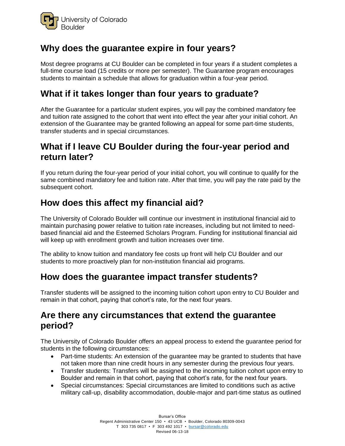

## **Why does the guarantee expire in four years?**

Most degree programs at CU Boulder can be completed in four years if a student completes a full-time course load (15 credits or more per semester). The Guarantee program encourages students to maintain a schedule that allows for graduation within a four-year period.

## **What if it takes longer than four years to graduate?**

After the Guarantee for a particular student expires, you will pay the combined mandatory fee and tuition rate assigned to the cohort that went into effect the year after your initial cohort. An extension of the Guarantee may be granted following an appeal for some part-time students, transfer students and in special circumstances.

### **What if I leave CU Boulder during the four-year period and return later?**

If you return during the four-year period of your initial cohort, you will continue to qualify for the same combined mandatory fee and tuition rate. After that time, you will pay the rate paid by the subsequent cohort.

## **How does this affect my financial aid?**

The University of Colorado Boulder will continue our investment in institutional financial aid to maintain purchasing power relative to tuition rate increases, including but not limited to needbased financial aid and the Esteemed Scholars Program. Funding for institutional financial aid will keep up with enrollment growth and tuition increases over time.

The ability to know tuition and mandatory fee costs up front will help CU Boulder and our students to more proactively plan for non-institution financial aid programs.

### **How does the guarantee impact transfer students?**

Transfer students will be assigned to the incoming tuition cohort upon entry to CU Boulder and remain in that cohort, paying that cohort's rate, for the next four years.

#### **Are there any circumstances that extend the guarantee period?**

The University of Colorado Boulder offers an appeal process to extend the guarantee period for students in the following circumstances:

- Part-time students: An extension of the guarantee may be granted to students that have not taken more than nine credit hours in any semester during the previous four years.
- Transfer students: Transfers will be assigned to the incoming tuition cohort upon entry to Boulder and remain in that cohort, paying that cohort's rate, for the next four years.
- Special circumstances: Special circumstances are limited to conditions such as active military call-up, disability accommodation, double-major and part-time status as outlined